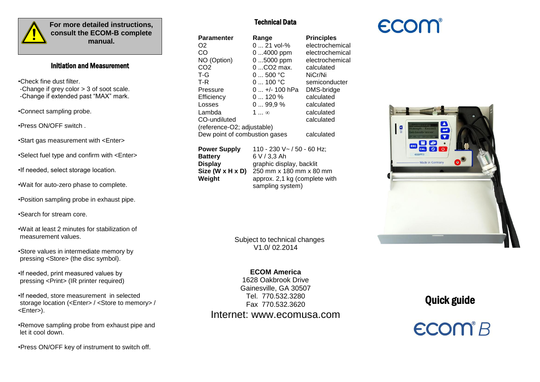

í I i **For more detailed instructions, consult the ECOM-B complete manual.**

### Ï Initiation and Measurement

•Check fine dust filter. -Change if grey color > 3 of soot scale. -Change if extended past "MAX" mark.

•Connect sampling probe.

•Press ON/OFF switch .

•Start gas measurement with <Enter>

•Select fuel type and confirm with <Enter>

•If needed, select storage location.

•Wait for auto-zero phase to complete.

•Position sampling probe in exhaust pipe.

•Search for stream core.

•Wait at least 2 minutes for stabilization of measurement values.

•Store values in intermediate memory by pressing <Store> (the disc symbol).

•If needed, print measured values by pressing <Print> (IR printer required)

•If needed, store measurement in selected storage location (<Enter> / <Store to memory> / <Enter>).

•Remove sampling probe from exhaust pipe and let it cool down.

•Press ON/OFF key of instrument to switch off.

## Technical Data

| Paramenter                    | Range            | <b>Principles</b> |
|-------------------------------|------------------|-------------------|
| O2                            | $021$ vol-%      | electrochemical   |
| CO                            | $04000$ ppm      | electrochemical   |
| NO (Option)                   | $05000$ ppm      | electrochemical   |
| CO2                           | 0 CO2 max.       | calculated        |
| T-G                           | 0500 °C          | NiCr/Ni           |
| T-R                           | 0100 °C          | semiconducter     |
| Pressure                      | $0 +1$ - 100 hPa | DMS-bridge        |
| Efficiency                    | $0120\%$         | calculated        |
| Losses                        | 099.9%           | calculated        |
| Lambda                        | 1 $\infty$       | calculated        |
| CO-undiluted                  |                  | calculated        |
| (reference-O2; adjustable)    |                  |                   |
| Dew point of combustion gases |                  | calculated        |
|                               |                  |                   |

| <b>Power Supply</b>            | 110 - 230 V ~ / 50 - 60 Hz;   |
|--------------------------------|-------------------------------|
| <b>Battery</b>                 | 6 V / 3.3 Ah                  |
| <b>Display</b>                 | graphic display, backlit      |
| Size ( $W \times H \times D$ ) | 250 mm x 180 mm x 80 mm       |
| Weight                         | approx. 2,1 kg (complete with |
|                                | sampling system)              |

 Subject to technical changes V1.0/ 02.2014

## **ECOM America**

1628 Oakbrook Drive Gainesville, GA 30507 Tel. 770.532.3280 Fax 770.532.3620

# Internet: www.ecomusa.com



Quick guide